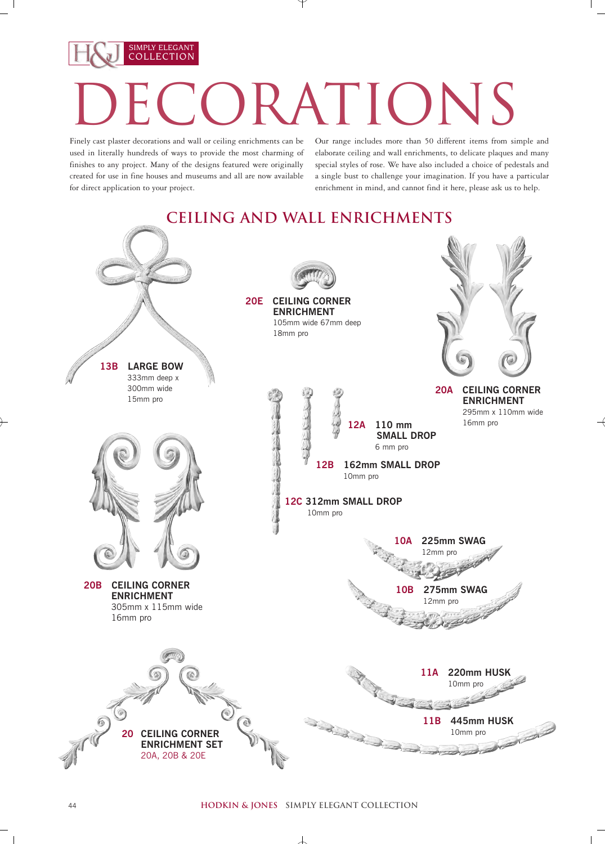## SIMPLY ELEGANT COLLECTION **LATIONS**

Finely cast plaster decorations and wall or ceiling enrichments can be used in literally hundreds of ways to provide the most charming of finishes to any project. Many of the designs featured were originally created for use in fine houses and museums and all are now available for direct application to your project.

Our range includes more than 50 different items from simple and elaborate ceiling and wall enrichments, to delicate plaques and many special styles of rose. We have also included a choice of pedestals and a single bust to challenge your imagination. If you have a particular enrichment in mind, and cannot find it here, please ask us to help.



 $\overline{1}$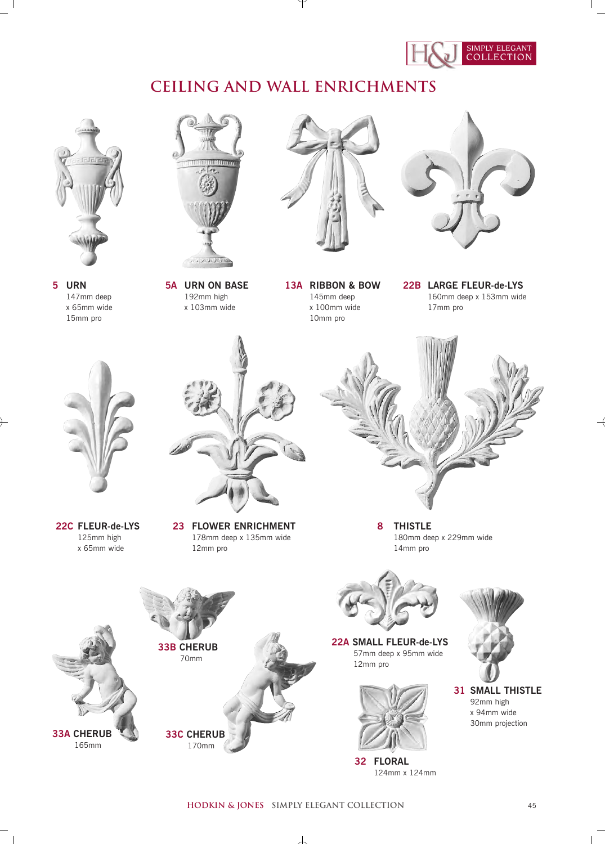

## **Ceiling and Wall Enrichments**



**5 URN** 147mm deep x 65mm wide 15mm pro



**5A URN ON BASE** 192mm high x 103mm wide



**13A RIBBON & BOW** 145mm deep x 100mm wide 10mm pro



**22B LARGE FLEUR-de-LYS** 160mm deep x 153mm wide 17mm pro



**22C FLEUR-de-LYS** 125mm high x 65mm wide

 $\overline{1}$ 



**23 FLOWER ENRICHMENT** 178mm deep x 135mm wide 12mm pro



**8 THISTLE** 180mm deep x 229mm wide 14mm pro





**22A SMALL FLEUR-de-LYS** 57mm deep x 95mm wide 12mm pro



**32 FLORAL** 124mm x 124mm



**31 SMALL THISTLE** 92mm high x 94mm wide 30mm projection